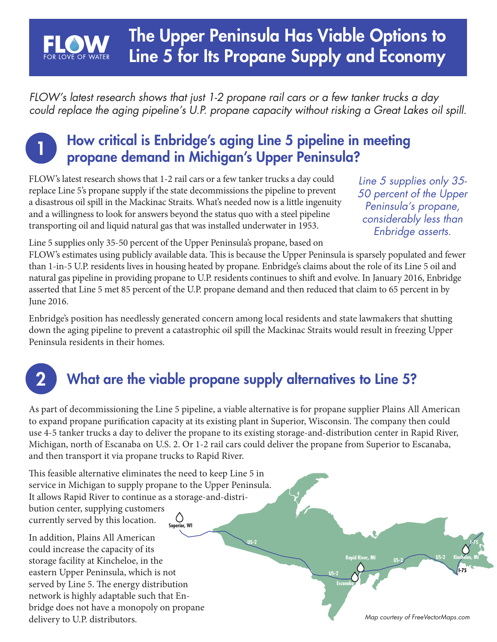## The Upper Peninsula Has Viable Options to Line 5 for Its Propane Supply and Economy

*FLOW's latest research shows that just 1-2 propane rail cars or a few tanker trucks a day could replace the aging pipeline's U.P. propane capacity without risking a Great Lakes oil spill.*

#### How critical is Enbridge's aging Line 5 pipeline in meeting propane demand in Michigan's Upper Peninsula?

FLOW's latest research shows that 1-2 rail cars or a few tanker trucks a day could replace Line 5's propane supply if the state decommissions the pipeline to prevent a disastrous oil spill in the Mackinac Straits. What's needed now is a little ingenuity and a willingness to look for answers beyond the status quo with a steel pipeline transporting oil and liquid natural gas that was installed underwater in 1953.

*Line 5 supplies only 35- 50 percent of the Upper Peninsula's propane, considerably less than Enbridge asserts.* 

Line 5 supplies only 35-50 percent of the Upper Peninsula's propane, based on

FLOW's estimates using publicly available data. This is because the Upper Peninsula is sparsely populated and fewer than 1-in-5 U.P. residents lives in housing heated by propane. Enbridge's claims about the role of its Line 5 oil and natural gas pipeline in providing propane to U.P. residents continues to shift and evolve. In January 2016, Enbridge asserted that Line 5 met 85 percent of the U.P. propane demand and then reduced that claim to 65 percent in by June 2016.

Enbridge's position has needlessly generated concern among local residents and state lawmakers that shutting down the aging pipeline to prevent a catastrophic oil spill the Mackinac Straits would result in freezing Upper Peninsula residents in their homes.

# 2

1

## What are the viable propane supply alternatives to Line 5?

As part of decommissioning the Line 5 pipeline, a viable alternative is for propane supplier Plains All American to expand propane purification capacity at its existing plant in Superior, Wisconsin. The company then could use 4-5 tanker trucks a day to deliver the propane to its existing storage-and-distribution center in Rapid River, Michigan, north of Escanaba on U.S. 2. Or 1-2 rail cars could deliver the propane from Superior to Escanaba, and then transport it via propane trucks to Rapid River.

**US-2**

**US-2**

**Escanaba**

**Rapid River, MI**

This feasible alternative eliminates the need to keep Line 5 in service in Michigan to supply propane to the Upper Peninsula. It allows Rapid River to continue as a storage-and-distribution center, supplying customers  $\circlearrowright$ currently served by this location. **Superior, WI**

In addition, Plains All American could increase the capacity of its storage facility at Kincheloe, in the eastern Upper Peninsula, which is not served by Line 5. The energy distribution network is highly adaptable such that Enbridge does not have a monopoly on propane delivery to U.P. distributors.

*Map courtesy of FreeVectorMaps.com*

**US-2 US-2**

**I-75**

**Kincheloe, MI**

**I-75**